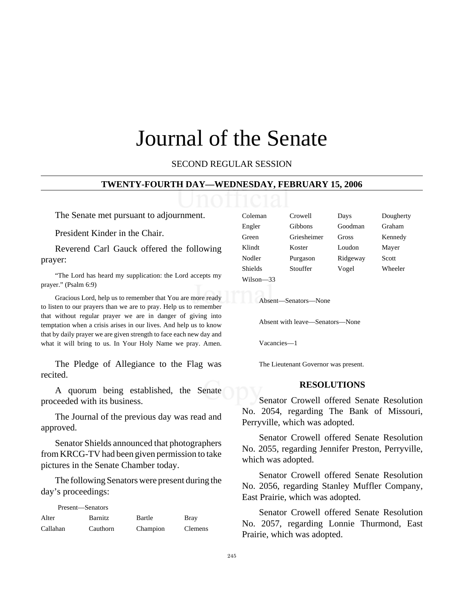# Journal of the Senate

SECOND REGULAR SESSION

#### **TWENTY-FOURTH DAY—WEDNESDAY, FEBRUARY 15, 2006**

The Senate met pursuant to adjournment.

President Kinder in the Chair.

Reverend Carl Gauck offered the following prayer:

"The Lord has heard my supplication: the Lord accepts my prayer." (Psalm 6:9)

Gracious Lord, help us to remember that You are more ready to listen to our prayers than we are to pray. Help us to remember that without regular prayer we are in danger of giving into temptation when a crisis arises in our lives. And help us to know that by daily prayer we are given strength to face each new day and what it will bring to us. In Your Holy Name we pray. Amen.

The Pledge of Allegiance to the Flag was recited.

A quorum being established, the Senate proceeded with its business.

The Journal of the previous day was read and approved.

Senator Shields announced that photographers from KRCG-TV had been given permission to take pictures in the Senate Chamber today.

The following Senators were present during the day's proceedings:

| Present—Senators |                |          |                |
|------------------|----------------|----------|----------------|
| Alter            | <b>Barnitz</b> | Bartle   | <b>Bray</b>    |
| Callahan         | Cauthorn       | Champion | <b>Clemens</b> |

| Coleman   | Crowell     | Days     | Dougherty |
|-----------|-------------|----------|-----------|
| Engler    | Gibbons     | Goodman  | Graham    |
| Green     | Griesheimer | Gross    | Kennedy   |
| Klindt    | Koster      | Loudon   | Mayer     |
| Nodler    | Purgason    | Ridgeway | Scott     |
| Shields   | Stouffer    | Vogel    | Wheeler   |
| Wilson—33 |             |          |           |
|           |             |          |           |

Absent—Senators—None

Absent with leave—Senators—None

Vacancies—1

The Lieutenant Governor was present.

#### **RESOLUTIONS**

Senator Crowell offered Senate Resolution No. 2054, regarding The Bank of Missouri, Perryville, which was adopted.

Senator Crowell offered Senate Resolution No. 2055, regarding Jennifer Preston, Perryville, which was adopted.

Senator Crowell offered Senate Resolution No. 2056, regarding Stanley Muffler Company, East Prairie, which was adopted.

Senator Crowell offered Senate Resolution No. 2057, regarding Lonnie Thurmond, East Prairie, which was adopted.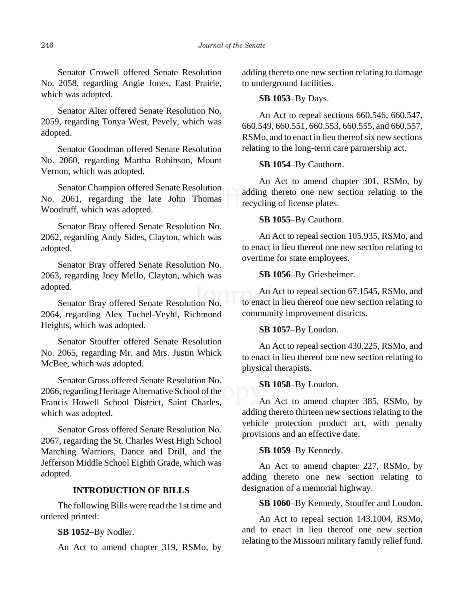Senator Crowell offered Senate Resolution No. 2058, regarding Angie Jones, East Prairie, which was adopted.

Senator Alter offered Senate Resolution No. 2059, regarding Tonya West, Pevely, which was adopted.

Senator Goodman offered Senate Resolution No. 2060, regarding Martha Robinson, Mount Vernon, which was adopted.

Senator Champion offered Senate Resolution No. 2061, regarding the late John Thomas Woodruff, which was adopted.

Senator Bray offered Senate Resolution No. 2062, regarding Andy Sides, Clayton, which was adopted.

Senator Bray offered Senate Resolution No. 2063, regarding Joey Mello, Clayton, which was adopted.

Senator Bray offered Senate Resolution No. 2064, regarding Alex Tuchel-Veyhl, Richmond Heights, which was adopted.

Senator Stouffer offered Senate Resolution No. 2065, regarding Mr. and Mrs. Justin Whick McBee, which was adopted.

Senator Gross offered Senate Resolution No. 2066, regarding Heritage Alternative School of the Francis Howell School District, Saint Charles, which was adopted.

Senator Gross offered Senate Resolution No. 2067, regarding the St. Charles West High School Marching Warriors, Dance and Drill, and the Jefferson Middle School Eighth Grade, which was adopted.

## **INTRODUCTION OF BILLS**

The following Bills were read the 1st time and ordered printed:

**SB 1052**–By Nodler.

An Act to amend chapter 319, RSMo, by

adding thereto one new section relating to damage to underground facilities.

## **SB 1053**–By Days.

An Act to repeal sections 660.546, 660.547, 660.549, 660.551, 660.553, 660.555, and 660.557, RSMo, and to enact in lieu thereof six new sections relating to the long-term care partnership act.

### **SB 1054**–By Cauthorn.

An Act to amend chapter 301, RSMo, by adding thereto one new section relating to the recycling of license plates.

### **SB 1055**–By Cauthorn.

An Act to repeal section 105.935, RSMo, and to enact in lieu thereof one new section relating to overtime for state employees.

## **SB 1056**–By Griesheimer.

An Act to repeal section 67.1545, RSMo, and to enact in lieu thereof one new section relating to community improvement districts.

## **SB 1057**–By Loudon.

An Act to repeal section 430.225, RSMo, and to enact in lieu thereof one new section relating to physical therapists.

#### **SB 1058**–By Loudon.

An Act to amend chapter 385, RSMo, by adding thereto thirteen new sections relating to the vehicle protection product act, with penalty provisions and an effective date.

## **SB 1059**–By Kennedy.

An Act to amend chapter 227, RSMo, by adding thereto one new section relating to designation of a memorial highway.

**SB 1060**–By Kennedy, Stouffer and Loudon.

An Act to repeal section 143.1004, RSMo, and to enact in lieu thereof one new section relating to the Missouri military family relief fund.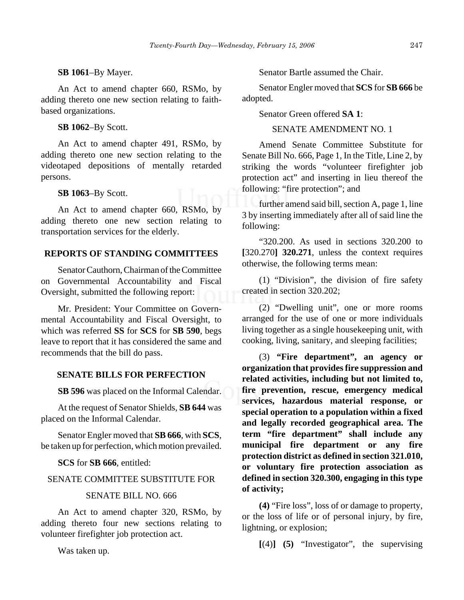## **SB 1061**–By Mayer.

An Act to amend chapter 660, RSMo, by adding thereto one new section relating to faithbased organizations.

## **SB 1062**–By Scott.

An Act to amend chapter 491, RSMo, by adding thereto one new section relating to the videotaped depositions of mentally retarded persons.

# **SB 1063**–By Scott.

An Act to amend chapter 660, RSMo, by adding thereto one new section relating to transportation services for the elderly.

# **REPORTS OF STANDING COMMITTEES**

Senator Cauthorn, Chairman of the Committee on Governmental Accountability and Fiscal Oversight, submitted the following report:

Mr. President: Your Committee on Governmental Accountability and Fiscal Oversight, to which was referred **SS** for **SCS** for **SB 590**, begs leave to report that it has considered the same and recommends that the bill do pass.

# **SENATE BILLS FOR PERFECTION**

**SB 596** was placed on the Informal Calendar.

At the request of Senator Shields, **SB 644** was placed on the Informal Calendar.

Senator Engler moved that **SB 666**, with **SCS**, be taken up for perfection, which motion prevailed.

**SCS** for **SB 666**, entitled:

# SENATE COMMITTEE SUBSTITUTE FOR

## SENATE BILL NO. 666

An Act to amend chapter 320, RSMo, by adding thereto four new sections relating to volunteer firefighter job protection act.

Was taken up.

Senator Bartle assumed the Chair.

Senator Engler moved that **SCS** for **SB 666** be adopted.

Senator Green offered **SA 1**:

# SENATE AMENDMENT NO. 1

Amend Senate Committee Substitute for Senate Bill No. 666, Page 1, In the Title, Line 2, by striking the words "volunteer firefighter job protection act" and inserting in lieu thereof the following: "fire protection"; and

further amend said bill, section A, page 1, line 3 by inserting immediately after all of said line the following:

"320.200. As used in sections 320.200 to **[**320.270**] 320.271**, unless the context requires otherwise, the following terms mean:

(1) "Division", the division of fire safety created in section 320.202;

(2) "Dwelling unit", one or more rooms arranged for the use of one or more individuals living together as a single housekeeping unit, with cooking, living, sanitary, and sleeping facilities;

(3) **"Fire department", an agency or organization that provides fire suppression and related activities, including but not limited to, fire prevention, rescue, emergency medical services, hazardous material response, or special operation to a population within a fixed and legally recorded geographical area. The term "fire department" shall include any municipal fire department or any fire protection district as defined in section 321.010, or voluntary fire protection association as defined in section 320.300, engaging in this type of activity;**

**(4)** "Fire loss", loss of or damage to property, or the loss of life or of personal injury, by fire, lightning, or explosion;

**[**(4)**] (5)** "Investigator", the supervising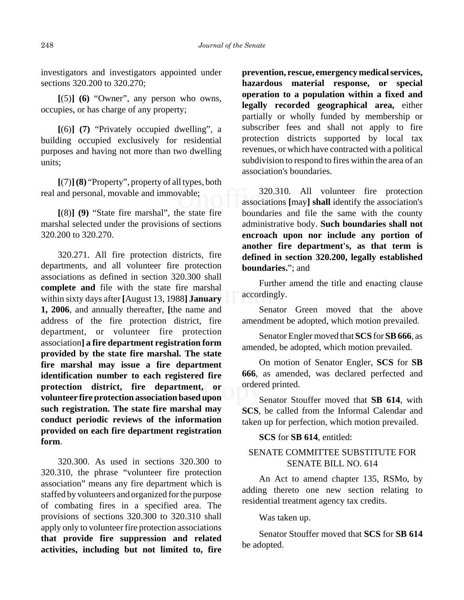investigators and investigators appointed under sections 320.200 to 320.270;

**[**(5)**] (6)** "Owner", any person who owns, occupies, or has charge of any property;

**[**(6)**] (7)** "Privately occupied dwelling", a building occupied exclusively for residential purposes and having not more than two dwelling units;

**[**(7)**](8)** "Property", property of all types, both real and personal, movable and immovable;

**[**(8)**] (9)** "State fire marshal", the state fire marshal selected under the provisions of sections 320.200 to 320.270.

320.271. All fire protection districts, fire departments, and all volunteer fire protection associations as defined in section 320.300 shall **complete and** file with the state fire marshal within sixty days after **[**August 13, 1988**] January 1, 2006**, and annually thereafter, **[**the name and address of the fire protection district, fire department, or volunteer fire protection association**] a fire department registration form provided by the state fire marshal. The state fire marshal may issue a fire department identification number to each registered fire protection district, fire department, or volunteer fire protection association based upon such registration. The state fire marshal may conduct periodic reviews of the information provided on each fire department registration form**.

320.300. As used in sections 320.300 to 320.310, the phrase "volunteer fire protection association" means any fire department which is staffed by volunteers and organized for the purpose of combating fires in a specified area. The provisions of sections 320.300 to 320.310 shall apply only to volunteer fire protection associations **that provide fire suppression and related activities, including but not limited to, fire**

**prevention, rescue, emergency medical services, hazardous material response, or special operation to a population within a fixed and legally recorded geographical area,** either partially or wholly funded by membership or subscriber fees and shall not apply to fire protection districts supported by local tax revenues, or which have contracted with a political subdivision to respond to fires within the area of an association's boundaries.

320.310. All volunteer fire protection associations **[**may**] shall** identify the association's boundaries and file the same with the county administrative body. **Such boundaries shall not encroach upon nor include any portion of another fire department's, as that term is defined in section 320.200, legally established boundaries.**"; and

Further amend the title and enacting clause accordingly.

Senator Green moved that the above amendment be adopted, which motion prevailed.

Senator Engler moved that **SCS** for **SB 666**, as amended, be adopted, which motion prevailed.

On motion of Senator Engler, **SCS** for **SB 666**, as amended, was declared perfected and ordered printed.

Senator Stouffer moved that **SB 614**, with **SCS**, be called from the Informal Calendar and taken up for perfection, which motion prevailed.

# **SCS** for **SB 614**, entitled:

# SENATE COMMITTEE SUBSTITUTE FOR SENATE BILL NO. 614

An Act to amend chapter 135, RSMo, by adding thereto one new section relating to residential treatment agency tax credits.

Was taken up.

Senator Stouffer moved that **SCS** for **SB 614** be adopted.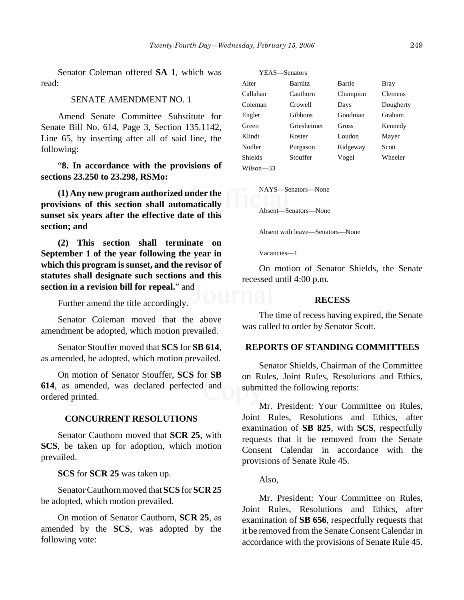Senator Coleman offered **SA 1**, which was read:

# SENATE AMENDMENT NO. 1

Amend Senate Committee Substitute for Senate Bill No. 614, Page 3, Section 135.1142, Line 65, by inserting after all of said line, the following:

"**8. In accordance with the provisions of sections 23.250 to 23.298, RSMo:**

**(1) Any new program authorized under the provisions of this section shall automatically sunset six years after the effective date of this section; and**

**(2) This section shall terminate on September 1 of the year following the year in which this program is sunset, and the revisor of statutes shall designate such sections and this section in a revision bill for repeal.**" and

Further amend the title accordingly.

Senator Coleman moved that the above amendment be adopted, which motion prevailed.

Senator Stouffer moved that **SCS** for **SB 614**, as amended, be adopted, which motion prevailed.

On motion of Senator Stouffer, **SCS** for **SB 614**, as amended, was declared perfected and ordered printed.

## **CONCURRENT RESOLUTIONS**

Senator Cauthorn moved that **SCR 25**, with **SCS**, be taken up for adoption, which motion prevailed.

**SCS** for **SCR 25** was taken up.

Senator Cauthorn moved that **SCS** for **SCR 25** be adopted, which motion prevailed.

On motion of Senator Cauthorn, **SCR 25**, as amended by the **SCS**, was adopted by the following vote:

| YEAS—Senators |                |          |                |
|---------------|----------------|----------|----------------|
| Alter         | <b>Barnitz</b> | Bartle   | Bray           |
| Callahan      | Cauthorn       | Champion | <b>Clemens</b> |
| Coleman       | Crowell        | Days     | Dougherty      |
| Engler        | Gibbons        | Goodman  | Graham         |
| Green         | Griesheimer    | Gross    | Kennedy        |
| Klindt        | Koster         | Loudon   | Mayer          |
| Nodler        | Purgason       | Ridgeway | Scott          |
| Shields       | Stouffer       | Vogel    | Wheeler        |
| Wilson—33     |                |          |                |

NAYS—Senators—None

Absent—Senators—None

Absent with leave—Senators—None

Vacancies—1

On motion of Senator Shields, the Senate recessed until 4:00 p.m.

#### **RECESS**

The time of recess having expired, the Senate was called to order by Senator Scott.

## **REPORTS OF STANDING COMMITTEES**

Senator Shields, Chairman of the Committee on Rules, Joint Rules, Resolutions and Ethics, submitted the following reports:

Mr. President: Your Committee on Rules, Joint Rules, Resolutions and Ethics, after examination of **SB 825**, with **SCS**, respectfully requests that it be removed from the Senate Consent Calendar in accordance with the provisions of Senate Rule 45.

Also,

Mr. President: Your Committee on Rules, Joint Rules, Resolutions and Ethics, after examination of **SB 656**, respectfully requests that it be removed from the Senate Consent Calendar in accordance with the provisions of Senate Rule 45.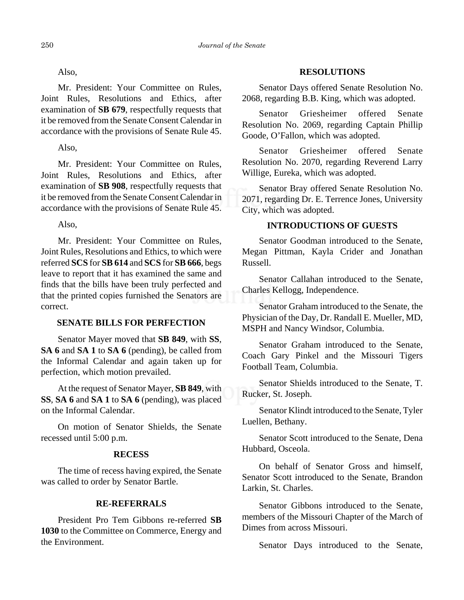Also,

Mr. President: Your Committee on Rules, Joint Rules, Resolutions and Ethics, after examination of **SB 679**, respectfully requests that it be removed from the Senate Consent Calendar in accordance with the provisions of Senate Rule 45.

Also,

Mr. President: Your Committee on Rules, Joint Rules, Resolutions and Ethics, after examination of **SB 908**, respectfully requests that it be removed from the Senate Consent Calendar in accordance with the provisions of Senate Rule 45.

Also,

Mr. President: Your Committee on Rules, Joint Rules, Resolutions and Ethics, to which were referred **SCS** for **SB 614** and **SCS** for **SB 666**, begs leave to report that it has examined the same and finds that the bills have been truly perfected and that the printed copies furnished the Senators are correct.

# **SENATE BILLS FOR PERFECTION**

Senator Mayer moved that **SB 849**, with **SS**, **SA 6** and **SA 1** to **SA 6** (pending), be called from the Informal Calendar and again taken up for perfection, which motion prevailed.

At the request of Senator Mayer, **SB 849**, with **SS**, **SA 6** and **SA 1** to **SA 6** (pending), was placed on the Informal Calendar.

On motion of Senator Shields, the Senate recessed until 5:00 p.m.

# **RECESS**

The time of recess having expired, the Senate was called to order by Senator Bartle.

# **RE-REFERRALS**

President Pro Tem Gibbons re-referred **SB 1030** to the Committee on Commerce, Energy and the Environment.

# **RESOLUTIONS**

Senator Days offered Senate Resolution No. 2068, regarding B.B. King, which was adopted.

Senator Griesheimer offered Senate Resolution No. 2069, regarding Captain Phillip Goode, O'Fallon, which was adopted.

Senator Griesheimer offered Senate Resolution No. 2070, regarding Reverend Larry Willige, Eureka, which was adopted.

Senator Bray offered Senate Resolution No. 2071, regarding Dr. E. Terrence Jones, University City, which was adopted.

# **INTRODUCTIONS OF GUESTS**

Senator Goodman introduced to the Senate, Megan Pittman, Kayla Crider and Jonathan Russell.

Senator Callahan introduced to the Senate, Charles Kellogg, Independence.

Senator Graham introduced to the Senate, the Physician of the Day, Dr. Randall E. Mueller, MD, MSPH and Nancy Windsor, Columbia.

Senator Graham introduced to the Senate, Coach Gary Pinkel and the Missouri Tigers Football Team, Columbia.

Senator Shields introduced to the Senate, T. Rucker, St. Joseph.

Senator Klindt introduced to the Senate, Tyler Luellen, Bethany.

Senator Scott introduced to the Senate, Dena Hubbard, Osceola.

On behalf of Senator Gross and himself, Senator Scott introduced to the Senate, Brandon Larkin, St. Charles.

Senator Gibbons introduced to the Senate, members of the Missouri Chapter of the March of Dimes from across Missouri.

Senator Days introduced to the Senate,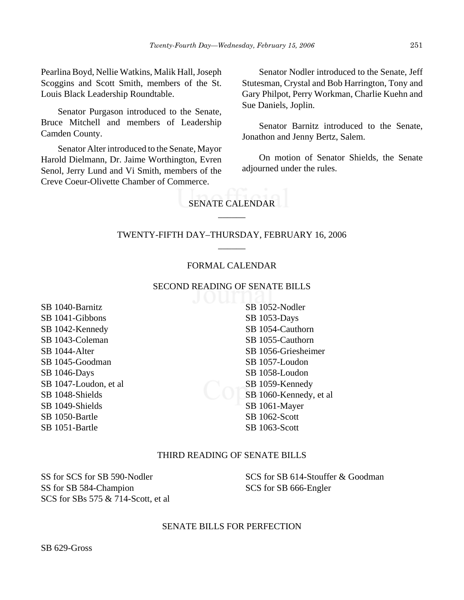Pearlina Boyd, Nellie Watkins, Malik Hall, Joseph Scoggins and Scott Smith, members of the St. Louis Black Leadership Roundtable.

Senator Purgason introduced to the Senate, Bruce Mitchell and members of Leadership Camden County.

Senator Alter introduced to the Senate, Mayor Harold Dielmann, Dr. Jaime Worthington, Evren Senol, Jerry Lund and Vi Smith, members of the Creve Coeur-Olivette Chamber of Commerce.

Senator Nodler introduced to the Senate, Jeff Stutesman, Crystal and Bob Harrington, Tony and Gary Philpot, Perry Workman, Charlie Kuehn and Sue Daniels, Joplin.

Senator Barnitz introduced to the Senate, Jonathon and Jenny Bertz, Salem.

On motion of Senator Shields, the Senate adjourned under the rules.

# SENATE CALENDAR  $\overline{\phantom{a}}$

# TWENTY-FIFTH DAY–THURSDAY, FEBRUARY 16, 2006 \_\_\_\_\_\_

### FORMAL CALENDAR

#### SECOND READING OF SENATE BILLS

SB 1040-Barnitz SB 1041-Gibbons SB 1042-Kennedy SB 1043-Coleman SB 1044-Alter SB 1045-Goodman SB 1046-Days SB 1047-Loudon, et al SB 1048-Shields SB 1049-Shields SB 1050-Bartle SB 1051-Bartle

SB 1052-Nodler SB 1053-Days SB 1054-Cauthorn SB 1055-Cauthorn SB 1056-Griesheimer SB 1057-Loudon SB 1058-Loudon SB 1059-Kennedy SB 1060-Kennedy, et al SB 1061-Mayer SB 1062-Scott SB 1063-Scott

# THIRD READING OF SENATE BILLS

SS for SCS for SB 590-Nodler SS for SB 584-Champion SCS for SBs 575 & 714-Scott, et al SCS for SB 614-Stouffer & Goodman SCS for SB 666-Engler

#### SENATE BILLS FOR PERFECTION